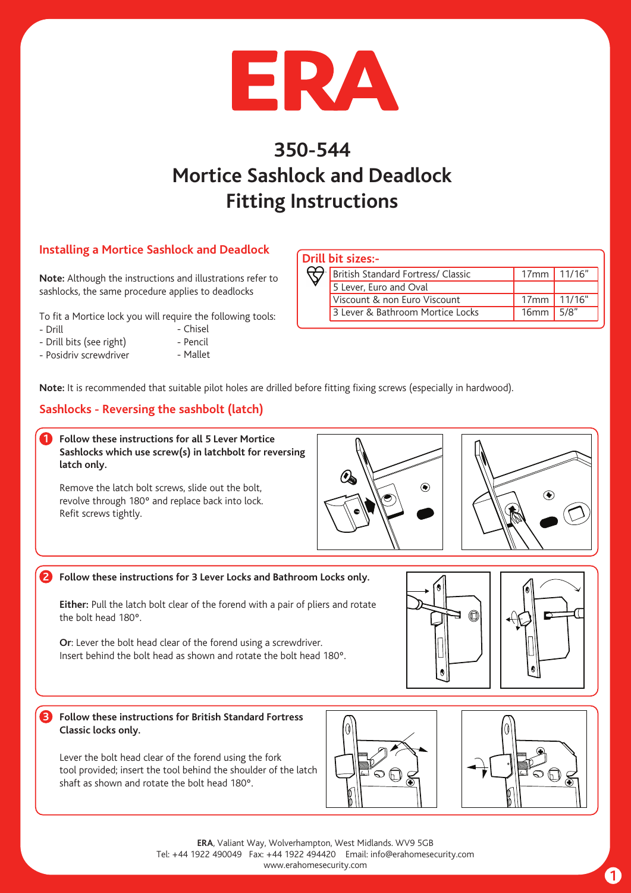

# **350-544 Mortice Sashlock and Deadlock Fitting Instructions**

## **Installing a Mortice Sashlock and Deadlock**

**Note:** Although the instructions and illustrations refer to sashlocks, the same procedure applies to deadlocks

To fit a Mortice lock you will require the following tools:

- Drill
- Chisel
- Drill bits (see right) - Pencil
- Posidriv screwdriver
- Mallet

|  | Drill bit sizes:-                  |                  |      |
|--|------------------------------------|------------------|------|
|  | British Standard Fortress/ Classic | $17mm$ 11/16"    |      |
|  | 5 Lever, Euro and Oval             |                  |      |
|  | Viscount & non Euro Viscount       | 17mm 11/16"      |      |
|  | 3 Lever & Bathroom Mortice Locks   | 16 <sub>mm</sub> | 5/8" |

**Note:** It is recommended that suitable pilot holes are drilled before fitting fixing screws (especially in hardwood).

# **Sashlocks - Reversing the sashbolt (latch)**

**Follow these instructions for all 5 Lever Mortice Sashlocks which use screw(s) in latchbolt for reversing latch only. 1**

Remove the latch bolt screws, slide out the bolt, revolve through 180º and replace back into lock. Refit screws tightly.



#### **2 Follow these instructions for 3 Lever Locks and Bathroom Locks only.**

**Either:** Pull the latch bolt clear of the forend with a pair of pliers and rotate the bolt head 180º.

**Or**: Lever the bolt head clear of the forend using a screwdriver. Insert behind the bolt head as shown and rotate the bolt head 180º.





**Follow these instructions for British Standard Fortress Classic locks only. 3**

Lever the bolt head clear of the forend using the fork tool provided; insert the tool behind the shoulder of the latch shaft as shown and rotate the bolt head 180º.



**ERA**, Valiant Way, Wolverhampton, West Midlands. WV9 5GB Tel: +44 1922 490049 Fax: +44 1922 494420 Email: info@erahomesecurity.com www.erahomesecurity.com